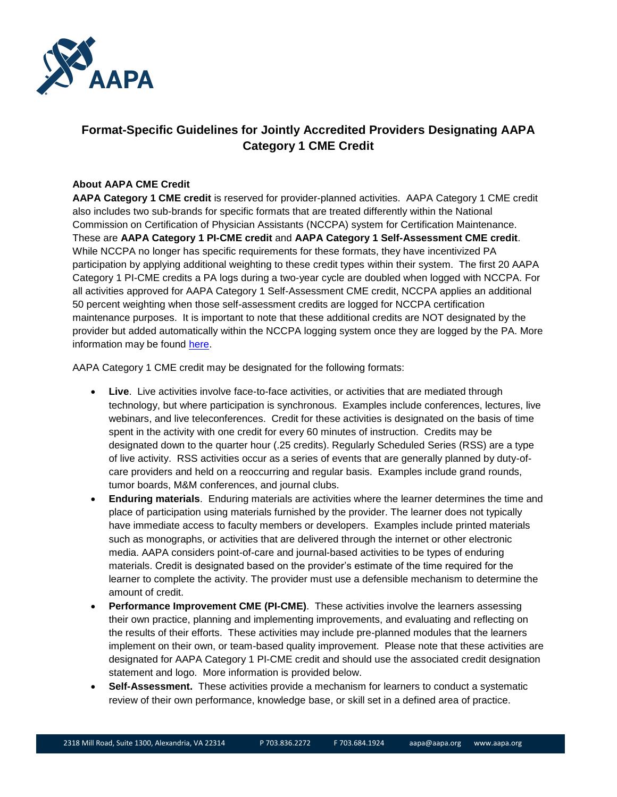

# **Format-Specific Guidelines for Jointly Accredited Providers Designating AAPA Category 1 CME Credit**

#### **About AAPA CME Credit**

**AAPA Category 1 CME credit** is reserved for provider-planned activities. AAPA Category 1 CME credit also includes two sub-brands for specific formats that are treated differently within the National Commission on Certification of Physician Assistants (NCCPA) system for Certification Maintenance. These are **AAPA Category 1 PI-CME credit** and **AAPA Category 1 Self-Assessment CME credit**. While NCCPA no longer has specific requirements for these formats, they have incentivized PA participation by applying additional weighting to these credit types within their system. The first 20 AAPA Category 1 PI-CME credits a PA logs during a two-year cycle are doubled when logged with NCCPA. For all activities approved for AAPA Category 1 Self-Assessment CME credit, NCCPA applies an additional 50 percent weighting when those self-assessment credits are logged for NCCPA certification maintenance purposes. It is important to note that these additional credits are NOT designated by the provider but added automatically within the NCCPA logging system once they are logged by the PA. More information may be found [here.](http://www.nccpa.net/qanda)

AAPA Category 1 CME credit may be designated for the following formats:

- **Live**. Live activities involve face-to-face activities, or activities that are mediated through technology, but where participation is synchronous. Examples include conferences, lectures, live webinars, and live teleconferences. Credit for these activities is designated on the basis of time spent in the activity with one credit for every 60 minutes of instruction. Credits may be designated down to the quarter hour (.25 credits). Regularly Scheduled Series (RSS) are a type of live activity. RSS activities occur as a series of events that are generally planned by duty-ofcare providers and held on a reoccurring and regular basis. Examples include grand rounds, tumor boards, M&M conferences, and journal clubs.
- **Enduring materials**. Enduring materials are activities where the learner determines the time and place of participation using materials furnished by the provider. The learner does not typically have immediate access to faculty members or developers. Examples include printed materials such as monographs, or activities that are delivered through the internet or other electronic media. AAPA considers point-of-care and journal-based activities to be types of enduring materials. Credit is designated based on the provider's estimate of the time required for the learner to complete the activity. The provider must use a defensible mechanism to determine the amount of credit.
- **Performance Improvement CME (PI-CME)**. These activities involve the learners assessing their own practice, planning and implementing improvements, and evaluating and reflecting on the results of their efforts. These activities may include pre-planned modules that the learners implement on their own, or team-based quality improvement. Please note that these activities are designated for AAPA Category 1 PI-CME credit and should use the associated credit designation statement and logo. More information is provided below.
- **Self-Assessment.** These activities provide a mechanism for learners to conduct a systematic review of their own performance, knowledge base, or skill set in a defined area of practice.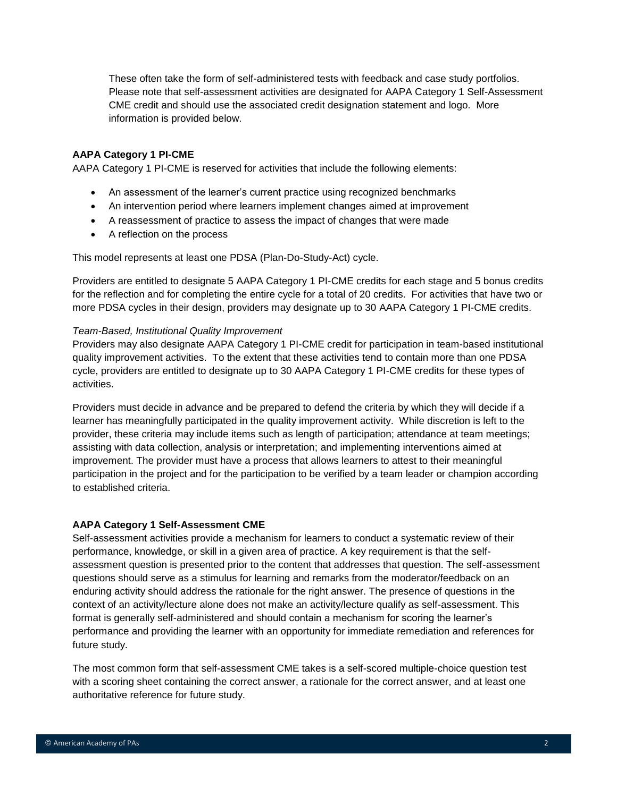These often take the form of self-administered tests with feedback and case study portfolios. Please note that self-assessment activities are designated for AAPA Category 1 Self-Assessment CME credit and should use the associated credit designation statement and logo. More information is provided below.

#### **AAPA Category 1 PI-CME**

AAPA Category 1 PI-CME is reserved for activities that include the following elements:

- An assessment of the learner's current practice using recognized benchmarks
- An intervention period where learners implement changes aimed at improvement
- A reassessment of practice to assess the impact of changes that were made
- A reflection on the process

This model represents at least one PDSA (Plan-Do-Study-Act) cycle.

Providers are entitled to designate 5 AAPA Category 1 PI-CME credits for each stage and 5 bonus credits for the reflection and for completing the entire cycle for a total of 20 credits. For activities that have two or more PDSA cycles in their design, providers may designate up to 30 AAPA Category 1 PI-CME credits.

#### *Team-Based, Institutional Quality Improvement*

Providers may also designate AAPA Category 1 PI-CME credit for participation in team-based institutional quality improvement activities. To the extent that these activities tend to contain more than one PDSA cycle, providers are entitled to designate up to 30 AAPA Category 1 PI-CME credits for these types of activities.

Providers must decide in advance and be prepared to defend the criteria by which they will decide if a learner has meaningfully participated in the quality improvement activity. While discretion is left to the provider, these criteria may include items such as length of participation; attendance at team meetings; assisting with data collection, analysis or interpretation; and implementing interventions aimed at improvement. The provider must have a process that allows learners to attest to their meaningful participation in the project and for the participation to be verified by a team leader or champion according to established criteria.

#### **AAPA Category 1 Self-Assessment CME**

Self-assessment activities provide a mechanism for learners to conduct a systematic review of their performance, knowledge, or skill in a given area of practice. A key requirement is that the selfassessment question is presented prior to the content that addresses that question. The self-assessment questions should serve as a stimulus for learning and remarks from the moderator/feedback on an enduring activity should address the rationale for the right answer. The presence of questions in the context of an activity/lecture alone does not make an activity/lecture qualify as self-assessment. This format is generally self-administered and should contain a mechanism for scoring the learner's performance and providing the learner with an opportunity for immediate remediation and references for future study.

The most common form that self-assessment CME takes is a self-scored multiple-choice question test with a scoring sheet containing the correct answer, a rationale for the correct answer, and at least one authoritative reference for future study.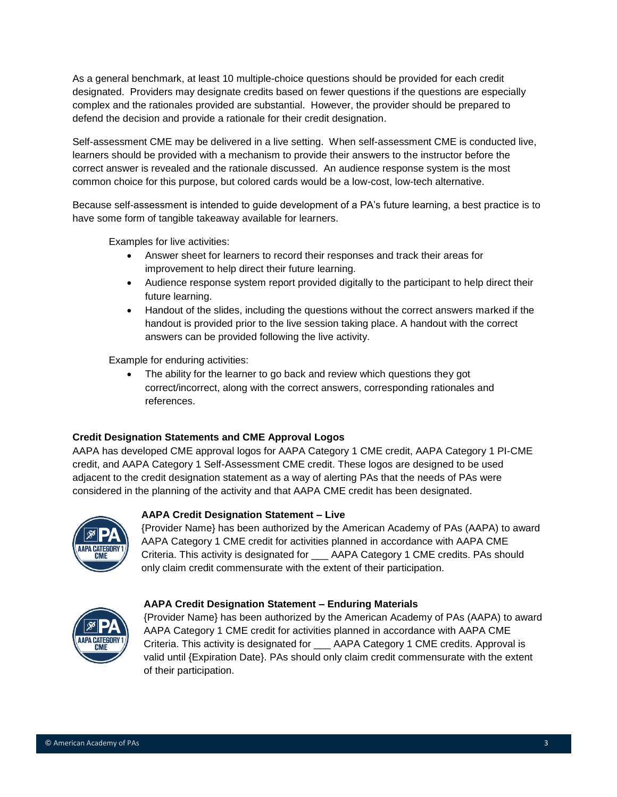As a general benchmark, at least 10 multiple-choice questions should be provided for each credit designated. Providers may designate credits based on fewer questions if the questions are especially complex and the rationales provided are substantial. However, the provider should be prepared to defend the decision and provide a rationale for their credit designation.

Self-assessment CME may be delivered in a live setting. When self-assessment CME is conducted live, learners should be provided with a mechanism to provide their answers to the instructor before the correct answer is revealed and the rationale discussed. An audience response system is the most common choice for this purpose, but colored cards would be a low-cost, low-tech alternative.

Because self-assessment is intended to guide development of a PA's future learning, a best practice is to have some form of tangible takeaway available for learners.

Examples for live activities:

- Answer sheet for learners to record their responses and track their areas for improvement to help direct their future learning.
- Audience response system report provided digitally to the participant to help direct their future learning.
- Handout of the slides, including the questions without the correct answers marked if the handout is provided prior to the live session taking place. A handout with the correct answers can be provided following the live activity.

Example for enduring activities:

• The ability for the learner to go back and review which questions they got correct/incorrect, along with the correct answers, corresponding rationales and references.

#### **Credit Designation Statements and CME Approval Logos**

AAPA has developed CME approval logos for AAPA Category 1 CME credit, AAPA Category 1 PI-CME credit, and AAPA Category 1 Self-Assessment CME credit. These logos are designed to be used adjacent to the credit designation statement as a way of alerting PAs that the needs of PAs were considered in the planning of the activity and that AAPA CME credit has been designated.



### **AAPA Credit Designation Statement – Live**

{Provider Name} has been authorized by the American Academy of PAs (AAPA) to award AAPA Category 1 CME credit for activities planned in accordance with AAPA CME Criteria. This activity is designated for \_\_\_ AAPA Category 1 CME credits. PAs should only claim credit commensurate with the extent of their participation.

#### **AAPA Credit Designation Statement – Enduring Materials**



{Provider Name} has been authorized by the American Academy of PAs (AAPA) to award AAPA Category 1 CME credit for activities planned in accordance with AAPA CME Criteria. This activity is designated for AAPA Category 1 CME credits. Approval is valid until {Expiration Date}. PAs should only claim credit commensurate with the extent of their participation.